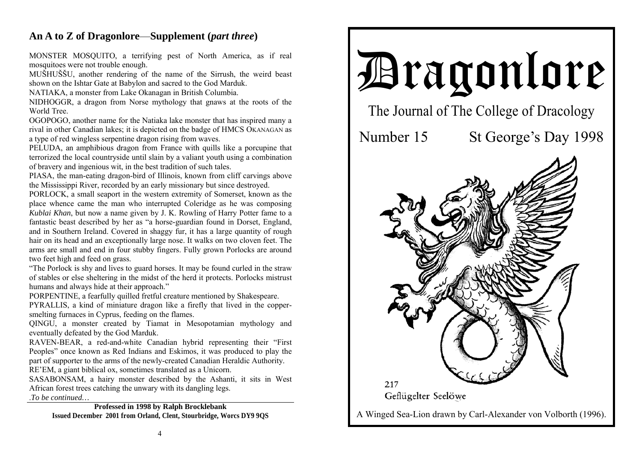## **An A to Z of Dragonlore**—**Supplement (***part three***)**

MONSTER MOSQUITO, a terrifying pest of North America, as if real mosquitoes were not trouble enough.

MUŠHUŠŠU, another rendering of the name of the Sirrush, the weird beast shown on the Ishtar Gate at Babylon and sacred to the God Marduk.

NATIAKA, a monster from Lake Okanagan in British Columbia.

NIDHOGGR, a dragon from Norse mythology that gnaws at the roots of the World Tree.

OGOPOGO, another name for the Natiaka lake monster that has inspired many a rival in other Canadian lakes; it is depicted on the badge of HMCS OKANAGAN as a type of red wingless serpentine dragon rising from waves.

PELUDA, an amphibious dragon from France with quills like a porcupine that terrorized the local countryside until slain by a valiant youth using a combination of bravery and ingenious wit, in the best tradition of such tales.

PIASA, the man-eating dragon-bird of Illinois, known from cliff carvings above the Mississippi River, recorded by an early missionary but since destroyed.

PORLOCK, a small seaport in the western extremity of Somerset, known as the place whence came the man who interrupted Coleridge as he was composing *Kublai Khan*, but now a name given by J. K. Rowling of Harry Potter fame to a fantastic beast described by her as "a horse-guardian found in Dorset, England, and in Southern Ireland. Covered in shaggy fur, it has a large quantity of rough hair on its head and an exceptionally large nose. It walks on two cloven feet. The arms are small and end in four stubby fingers. Fully grown Porlocks are around two feet high and feed on grass.

"The Porlock is shy and lives to guard horses. It may be found curled in the straw of stables or else sheltering in the midst of the herd it protects. Porlocks mistrust humans and always hide at their approach."

PORPENTINE, a fearfully quilled fretful creature mentioned by Shakespeare.

PYRALLIS, a kind of miniature dragon like a firefly that lived in the coppersmelting furnaces in Cyprus, feeding on the flames.

QINGU, a monster created by Tiamat in Mesopotamian mythology and eventually defeated by the God Marduk.

RAVEN-BEAR, a red-and-white Canadian hybrid representing their "First Peoples" once known as Red Indians and Eskimos, it was produced to play the part of supporter to the arms of the newly-created Canadian Heraldic Authority.

RE'EM, a giant biblical ox, sometimes translated as a Unicorn.

SASABONSAM, a hairy monster described by the Ashanti, it sits in West African forest trees catching the unwary with its dangling legs. .*To be continued…* 

**Professed in 1998 by Ralph Brocklebank Issued December 2001 from Orland, Clent, Stourbridge, Worcs DY9 9QS**